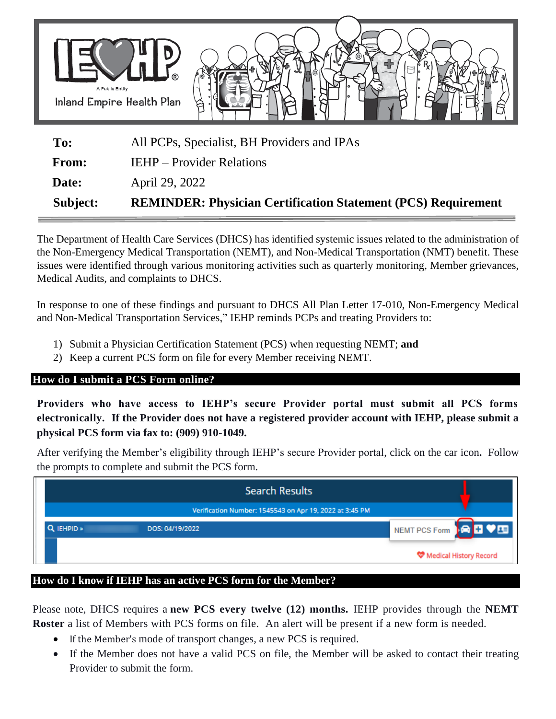

| Subject:     | <b>REMINDER: Physician Certification Statement (PCS) Requirement</b> |  |  |
|--------------|----------------------------------------------------------------------|--|--|
| Date:        | April 29, 2022                                                       |  |  |
| <b>From:</b> | <b>IEHP</b> – Provider Relations                                     |  |  |
| To:          | All PCPs, Specialist, BH Providers and IPAs                          |  |  |

The Department of Health Care Services (DHCS) has identified systemic issues related to the administration of the Non-Emergency Medical Transportation (NEMT), and Non-Medical Transportation (NMT) benefit. These issues were identified through various monitoring activities such as quarterly monitoring, Member grievances, Medical Audits, and complaints to DHCS.

In response to one of these findings and pursuant to DHCS All Plan Letter 17-010, Non-Emergency Medical and Non-Medical Transportation Services," IEHP reminds PCPs and treating Providers to:

- 1) Submit a Physician Certification Statement (PCS) when requesting NEMT; **and**
- 2) Keep a current PCS form on file for every Member receiving NEMT.

## **How do I submit a PCS Form online?**

**Providers who have access to IEHP's secure Provider portal must submit all PCS forms electronically. If the Provider does not have a registered provider account with IEHP, please submit a physical PCS form via fax to: (909) 910-1049.**

After verifying the Member's eligibility through IEHP's secure Provider portal, click on the car icon**.** Follow the prompts to complete and submit the PCS form.

|            | <b>Search Results</b>                                   |                               |
|------------|---------------------------------------------------------|-------------------------------|
|            | Verification Number: 1545543 on Apr 19, 2022 at 3:45 PM |                               |
| Q IEHPID » | DOS: 04/19/2022                                         | NEMT PCS Form <b>FOR FIVE</b> |
|            |                                                         | Medical History Record        |

## **How do I know if IEHP has an active PCS form for the Member?**

Please note, DHCS requires a **new PCS every twelve (12) months.** IEHP provides through the **NEMT Roster** a list of Members with PCS forms on file. An alert will be present if a new form is needed.

- If the Member's mode of transport changes, a new PCS is required.
- If the Member does not have a valid PCS on file, the Member will be asked to contact their treating Provider to submit the form.